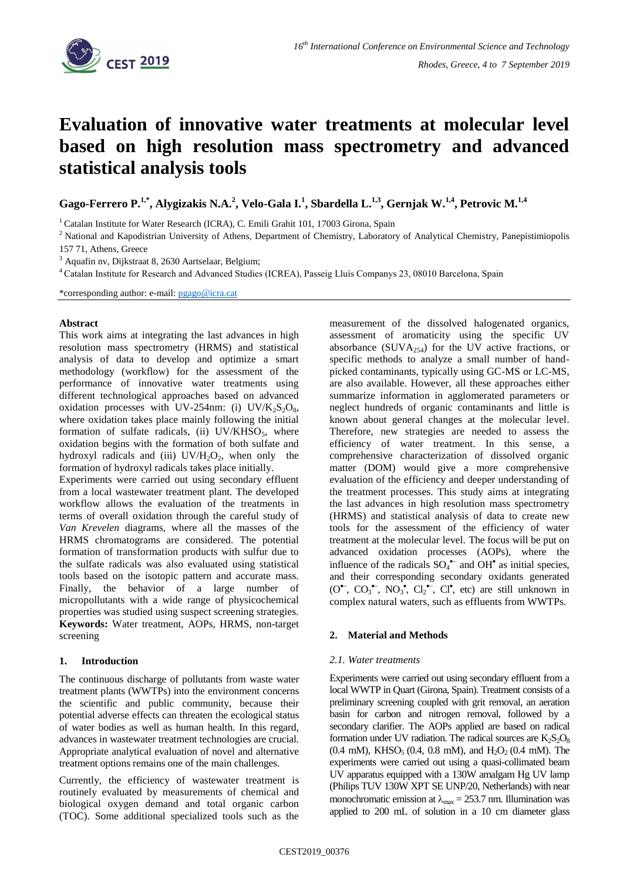

# **Evaluation of innovative water treatments at molecular level based on high resolution mass spectrometry and advanced statistical analysis tools**

**Gago-Ferrero P.1,\* , Alygizakis N.A.<sup>2</sup> , Velo-Gala I.<sup>1</sup> , Sbardella L.1,3, Gernjak W.1,4, Petrovic M.1,4**

<sup>1</sup> Catalan Institute for Water Research (ICRA), C. Emili Grahit 101, 17003 Girona, Spain

<sup>2</sup> National and Kapodistrian University of Athens, Department of Chemistry, Laboratory of Analytical Chemistry, Panepistimiopolis 157 71, Athens, Greece

 $3$  Aquafin nv, Dijkstraat 8, 2630 Aartselaar, Belgium;

<sup>4</sup>Catalan Institute for Research and Advanced Studies (ICREA), Passeig Lluís Companys 23, 08010 Barcelona, Spain

\*corresponding author: e-mail: [pgago@icra.cat](mailto:pgago@icra.cat)

#### **Abstract**

This work aims at integrating the last advances in high resolution mass spectrometry (HRMS) and statistical analysis of data to develop and optimize a smart methodology (workflow) for the assessment of the performance of innovative water treatments using different technological approaches based on advanced oxidation processes with UV-254nm: (i) UV/K<sub>2</sub>S<sub>2</sub>O<sub>8</sub>, where oxidation takes place mainly following the initial formation of sulfate radicals, (ii)  $UV/KHSO<sub>5</sub>$ , where oxidation begins with the formation of both sulfate and hydroxyl radicals and (iii)  $UV/H_2O_2$ , when only the formation of hydroxyl radicals takes place initially.

Experiments were carried out using secondary effluent from a local wastewater treatment plant. The developed workflow allows the evaluation of the treatments in terms of overall oxidation through the careful study of *Van Krevelen* diagrams, where all the masses of the HRMS chromatograms are considered. The potential formation of transformation products with sulfur due to the sulfate radicals was also evaluated using statistical tools based on the isotopic pattern and accurate mass. Finally, the behavior of a large number of micropollutants with a wide range of physicochemical properties was studied using suspect screening strategies. **Keywords:** Water treatment, AOPs, HRMS, non-target screening

#### **1. Introduction**

The continuous discharge of pollutants from waste water treatment plants (WWTPs) into the environment concerns the scientific and public community, because their potential adverse effects can threaten the ecological status of water bodies as well as human health. In this regard, advances in wastewater treatment technologies are crucial. Appropriate analytical evaluation of novel and alternative treatment options remains one of the main challenges.

Currently, the efficiency of wastewater treatment is routinely evaluated by measurements of chemical and biological oxygen demand and total organic carbon (TOC). Some additional specialized tools such as the

measurement of the dissolved halogenated organics, assessment of aromaticity using the specific UV absorbance (SUVA $_{254}$ ) for the UV active fractions, or specific methods to analyze a small number of handpicked contaminants, typically using GC-MS or LC-MS, are also available. However, all these approaches either summarize information in agglomerated parameters or neglect hundreds of organic contaminants and little is known about general changes at the molecular level. Therefore, new strategies are needed to assess the efficiency of water treatment. In this sense, a comprehensive characterization of dissolved organic matter (DOM) would give a more comprehensive evaluation of the efficiency and deeper understanding of the treatment processes. This study aims at integrating the last advances in high resolution mass spectrometry (HRMS) and statistical analysis of data to create new tools for the assessment of the efficiency of water treatment at the molecular level. The focus will be put on advanced oxidation processes (AOPs), where the influence of the radicals  $SO_4$ <sup> $-$ </sup> and  $OH<sup>•</sup>$  as initial species, and their corresponding secondary oxidants generated  $(O^{\bullet}, CO_3^{\bullet}, NO_3^{\bullet}, Cl_2^{\bullet}, Cl^{\bullet}, etc)$  are still unknown in complex natural waters, such as effluents from WWTPs.

#### **2. Material and Methods**

#### *2.1. Water treatments*

Experiments were carried out using secondary effluent from a local WWTP in Quart (Girona, Spain). Treatment consists of a preliminary screening coupled with grit removal, an aeration basin for carbon and nitrogen removal, followed by a secondary clarifier. The AOPs applied are based on radical formation under UV radiation. The radical sources are  $K_2S_2O_8$  $(0.4 \text{ mM})$ , KHSO<sub>5</sub>  $(0.4, 0.8 \text{ mM})$ , and H<sub>2</sub>O<sub>2</sub>  $(0.4 \text{ mM})$ . The experiments were carried out using a quasi-collimated beam UV apparatus equipped with a 130W amalgam Hg UV lamp (Philips TUV 130W XPT SE UNP/20, Netherlands) with near monochromatic emission at  $\lambda_{\text{max}} = 253.7$  nm. Illumination was applied to 200 mL of solution in a 10 cm diameter glass